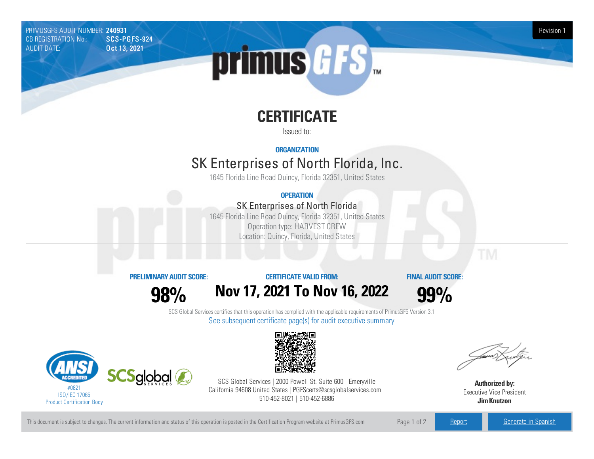PRIMUSGFS AUDIT NUMBER: 240931 Revision 1 CB REGISTRATION No.: AUDIT DATE: **Oct 13, 2021** 



# **CERTIFICATE**

Issued to:

#### **ORGANIZATION**

## SK Enterprises of North Florida, Inc.

1645 Florida Line Road Quincy, Florida 32351, United States

#### **OPERATION**

### SK Enterprises of North Florida

1645 Florida Line Road Quincy, Florida 32351, United States Operation type: HARVEST CREW Location: Quincy, Florida, United States

#### **PRELIMINARYAUDIT SCORE:**

**98%**

#### **CERTIFICATE VALIDFROM:**

**FINAL AUDIT SCORE:**

**Nov17, 2021 To Nov16, 2022**



SCS Global Services certifies that this operation has complied with the applicable requirements of PrimusGFS Version 3.1 See subsequent certificate page(s) for audit executive summary





SCS Global Services | 2000 Powell St. Suite 600 | Emeryville California 94608 United States | PGFScerts@scsglobalservices.com | 510-452-8021 | 510-452-6886

**Authorized by:** Executive Vice President **JimKnutzon**

This document is subject to changes. The current information and status of this operation is posted in the Certification Program website at PrimusGFS.com Page 1 of 2 [Report](https://secure.azzule.com/PGFSDocuments/PGFS_AuditReport240931_6097_1_EN.pdf) [Generate](https://secure.azzule.com/PrimusGFSAudits/pdfGenerator.aspx?AuditHeaderID=32841220319662642881573116775862671471122&AppId=30445067342&LanguageID=1&UserId=1) in Spanish